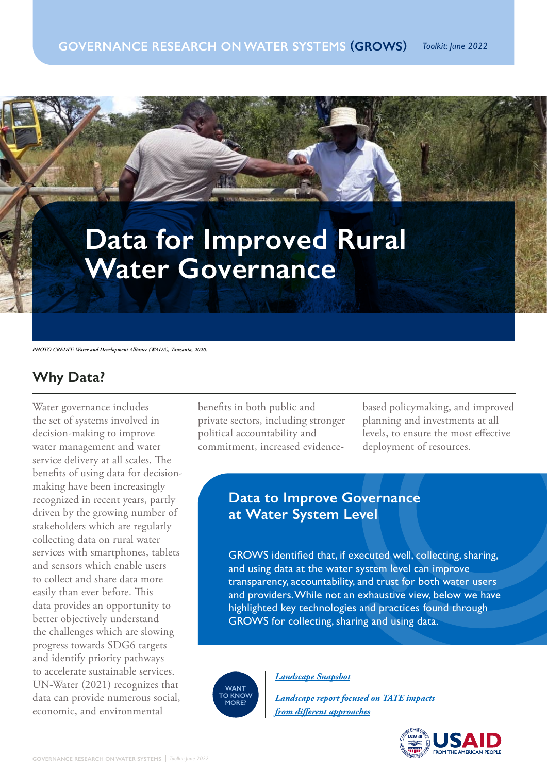# **Data for Improved Rural Water Governance**

*PHOTO CREDIT: Water and Development Alliance (WADA), Tanzania, 2020.*

# **Why Data?**

Water governance includes the set of systems involved in decision-making to improve water management and water service delivery at all scales. The benefits of using data for decisionmaking have been increasingly recognized in recent years, partly driven by the growing number of stakeholders which are regularly collecting data on rural water services with smartphones, tablets and sensors which enable users to collect and share data more easily than ever before. This data provides an opportunity to better objectively understand the challenges which are slowing progress towards SDG6 targets and identify priority pathways to accelerate sustainable services. UN-Water (2021) recognizes that data can provide numerous social, economic, and environmental

benefits in both public and private sectors, including stronger political accountability and commitment, increased evidencebased policymaking, and improved planning and investments at all levels, to ensure the most effective deployment of resources.

### **Data to Improve Governance at Water System Level**

GROWS identified that, if executed well, collecting, sharing, and using data at the water system level can improve transparency, accountability, and trust for both water users and providers. While not an exhaustive view, below we have highlighted key technologies and practices found through GROWS for collecting, sharing and using data.

**WANT TO KNOW MORE?**

*Landscape Snapshot*

*Landscape report focused on TATE impacts from different approaches*

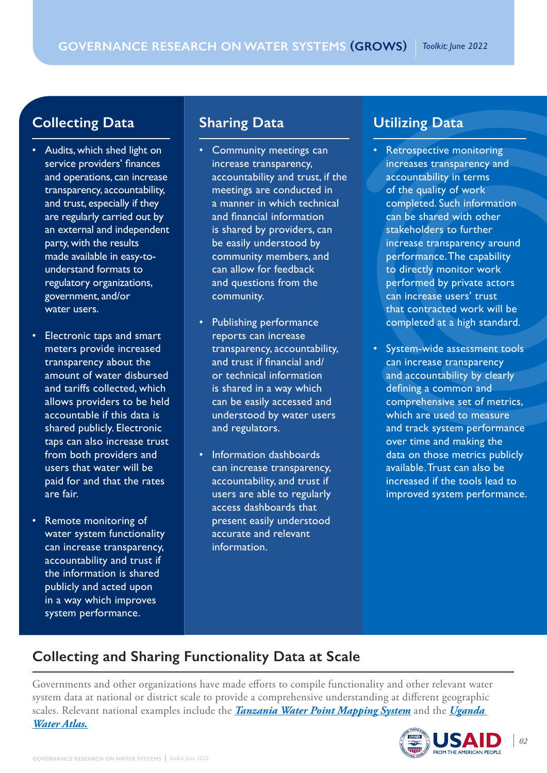## **Collecting Data**

- Audits, which shed light on service providers' finances and operations, can increase transparency, accountability, and trust, especially if they are regularly carried out by an external and independent party, with the results made available in easy-tounderstand formats to regulatory organizations, government, and/or water users.
- Electronic taps and smart meters provide increased transparency about the amount of water disbursed and tariffs collected, which allows providers to be held accountable if this data is shared publicly. Electronic taps can also increase trust from both providers and users that water will be paid for and that the rates are fair.
- Remote monitoring of water system functionality can increase transparency, accountability and trust if the information is shared publicly and acted upon in a way which improves system performance.

### **Sharing Data**

- Community meetings can increase transparency, accountability and trust, if the meetings are conducted in a manner in which technical and financial information is shared by providers, can be easily understood by community members, and can allow for feedback and questions from the community.
- Publishing performance reports can increase transparency, accountability, and trust if financial and/ or technical information is shared in a way which can be easily accessed and understood by water users and regulators.
- Information dashboards can increase transparency, accountability, and trust if users are able to regularly access dashboards that present easily understood accurate and relevant information.

#### **Utilizing Data**

- Retrospective monitoring increases transparency and accountability in terms of the quality of work completed. Such information can be shared with other stakeholders to further increase transparency around performance. The capability to directly monitor work performed by private actors can increase users' trust that contracted work will be completed at a high standard.
- System-wide assessment tools can increase transparency and accountability by clearly defining a common and comprehensive set of metrics, which are used to measure and track system performance over time and making the data on those metrics publicly available. Trust can also be increased if the tools lead to improved system performance.

# **Collecting and Sharing Functionality Data at Scale**

Governments and other organizations have made efforts to compile functionality and other relevant water system data at national or district scale to provide a comprehensive understanding at different geographic scales. Relevant national examples include the *Tanzania Water Point Mapping System* and the *Uganda Water Atlas.*

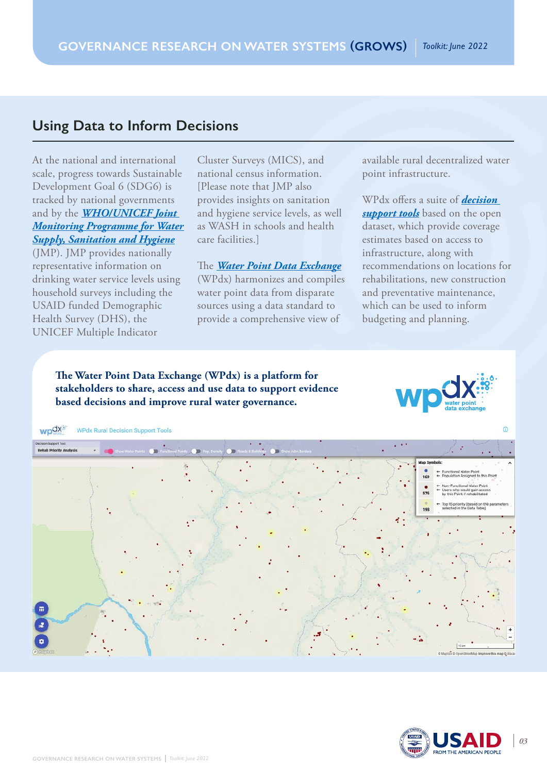#### **Using Data to Inform Decisions**

At the national and international scale, progress towards Sustainable Development Goal 6 (SDG6) is tracked by national governments and by the *WHO/UNICEF Joint Monitoring Programme for Water Supply, Sanitation and Hygiene* (JMP). JMP provides nationally representative information on drinking water service levels using household surveys including the USAID funded Demographic Health Survey (DHS), the UNICEF Multiple Indicator

Cluster Surveys (MICS), and national census information. [Please note that JMP also provides insights on sanitation and hygiene service levels, as well as WASH in schools and health care facilities.]

The *Water Point Data Exchange* (WPdx) harmonizes and compiles water point data from disparate sources using a data standard to provide a comprehensive view of

available rural decentralized water point infrastructure.

WPdx offers a suite of *decision support tools* based on the open dataset, which provide coverage estimates based on access to infrastructure, along with recommendations on locations for rehabilitations, new construction and preventative maintenance, which can be used to inform budgeting and planning.

**The Water Point Data Exchange (WPdx) is a platform for stakeholders to share, access and use data to support evidence based decisions and improve rural water governance.**